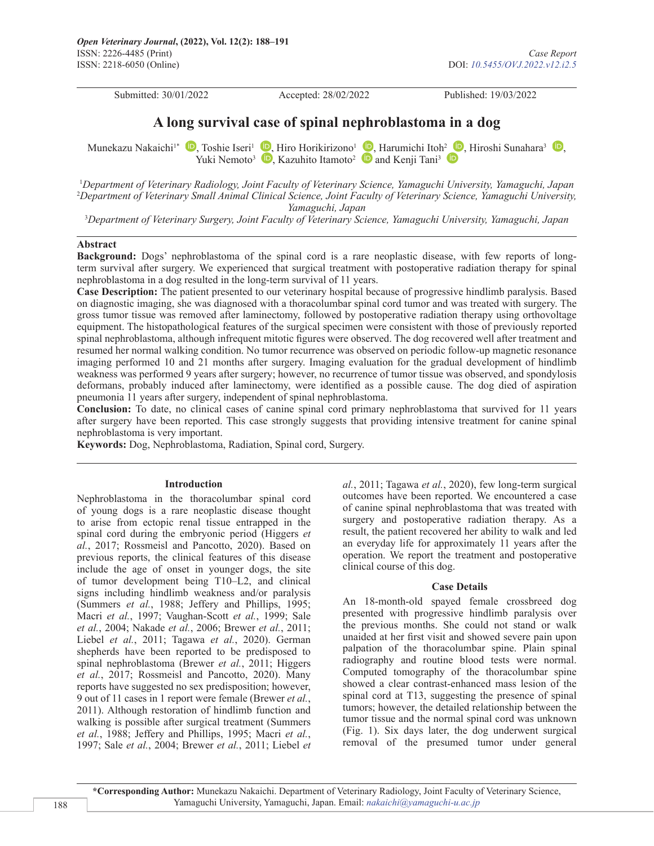Submitted: 30/01/2022 Accepted: 28/02/2022 Published: 19/03/2022

# **A long survival case of spinal nephroblastoma in a dog**

Munekazu Nakaichi<sup>1\*</sup> **D**[,](https://orcid.org/0000-0002-2087-0834) Toshie Iseri<sup>1</sup> **D**, Hiro Horikirizono<sup>1</sup> **D**, Harumichi Itoh<sup>2</sup> **D**, Hiroshi Sunahara<sup>3</sup> **D**, YukiNemoto<sup>3</sup>  $\bullet$ [,](https://orcid.org/0000-0002-2087-0834) Kazuhito Itamoto<sup>2</sup>  $\bullet$  and Kenji Tani<sup>3</sup>  $\bullet$ 

1 *Department of Veterinary Radiology, Joint Faculty of Veterinary Science, Yamaguchi University, Yamaguchi, Japan* 2 *Department of Veterinary Small Animal Clinical Science, Joint Faculty of Veterinary Science, Yamaguchi University, Yamaguchi, Japan*

3 *Department of Veterinary Surgery, Joint Faculty of Veterinary Science, Yamaguchi University, Yamaguchi, Japan*

## **Abstract**

**Background:** Dogs' nephroblastoma of the spinal cord is a rare neoplastic disease, with few reports of longterm survival after surgery. We experienced that surgical treatment with postoperative radiation therapy for spinal nephroblastoma in a dog resulted in the long-term survival of 11 years.

**Case Description:** The patient presented to our veterinary hospital because of progressive hindlimb paralysis. Based on diagnostic imaging, she was diagnosed with a thoracolumbar spinal cord tumor and was treated with surgery. The gross tumor tissue was removed after laminectomy, followed by postoperative radiation therapy using orthovoltage equipment. The histopathological features of the surgical specimen were consistent with those of previously reported spinal nephroblastoma, although infrequent mitotic figures were observed. The dog recovered well after treatment and resumed her normal walking condition. No tumor recurrence was observed on periodic follow-up magnetic resonance imaging performed 10 and 21 months after surgery. Imaging evaluation for the gradual development of hindlimb weakness was performed 9 years after surgery; however, no recurrence of tumor tissue was observed, and spondylosis deformans, probably induced after laminectomy, were identified as a possible cause. The dog died of aspiration pneumonia 11 years after surgery, independent of spinal nephroblastoma.

**Conclusion:** To date, no clinical cases of canine spinal cord primary nephroblastoma that survived for 11 years after surgery have been reported. This case strongly suggests that providing intensive treatment for canine spinal nephroblastoma is very important.

**Keywords:** Dog, Nephroblastoma, Radiation, Spinal cord, Surgery.

## **Introduction**

Nephroblastoma in the thoracolumbar spinal cord of young dogs is a rare neoplastic disease thought to arise from ectopic renal tissue entrapped in the spinal cord during the embryonic period (Higgers *et al.*, 2017; Rossmeisl and Pancotto, 2020). Based on previous reports, the clinical features of this disease include the age of onset in younger dogs, the site of tumor development being T10–L2, and clinical signs including hindlimb weakness and/or paralysis (Summers *et al.*, 1988; Jeffery and Phillips, 1995; Macri *et al.*, 1997; Vaughan-Scott *et al.*, 1999; Sale *et al.*, 2004; Nakade *et al.*, 2006; Brewer *et al.*, 2011; Liebel *et al.*, 2011; Tagawa *et al.*, 2020). German shepherds have been reported to be predisposed to spinal nephroblastoma (Brewer *et al.*, 2011; Higgers *et al.*, 2017; Rossmeisl and Pancotto, 2020). Many reports have suggested no sex predisposition; however, 9 out of 11 cases in 1 report were female (Brewer *et al.*, 2011). Although restoration of hindlimb function and walking is possible after surgical treatment (Summers *et al.*, 1988; Jeffery and Phillips, 1995; Macri *et al.*, 1997; Sale *et al.*, 2004; Brewer *et al.*, 2011; Liebel *et* 

*al.*, 2011; Tagawa *et al.*, 2020), few long-term surgical outcomes have been reported. We encountered a case of canine spinal nephroblastoma that was treated with surgery and postoperative radiation therapy. As a result, the patient recovered her ability to walk and led an everyday life for approximately 11 years after the operation. We report the treatment and postoperative clinical course of this dog.

## **Case Details**

An 18-month-old spayed female crossbreed dog presented with progressive hindlimb paralysis over the previous months. She could not stand or walk unaided at her first visit and showed severe pain upon palpation of the thoracolumbar spine. Plain spinal radiography and routine blood tests were normal. Computed tomography of the thoracolumbar spine showed a clear contrast-enhanced mass lesion of the spinal cord at T13, suggesting the presence of spinal tumors; however, the detailed relationship between the tumor tissue and the normal spinal cord was unknown (Fig. 1). Six days later, the dog underwent surgical removal of the presumed tumor under general

**\*Corresponding Author:** Munekazu Nakaichi. Department of Veterinary Radiology, Joint Faculty of Veterinary Science, Yamaguchi University, Yamaguchi, Japan. Email: *[nakaichi@yamaguchi-u.ac.jp](mailto:nakaichi@yamaguchi-u.ac.jp)*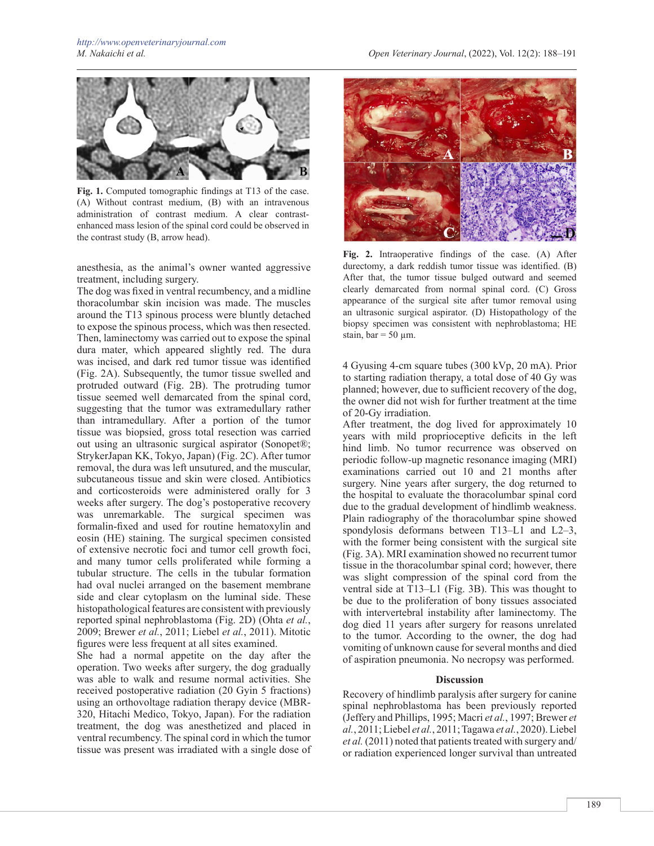

**Fig. 1.** Computed tomographic findings at T13 of the case. (A) Without contrast medium, (B) with an intravenous administration of contrast medium. A clear contrastenhanced mass lesion of the spinal cord could be observed in the contrast study (B, arrow head).

anesthesia, as the animal's owner wanted aggressive treatment, including surgery.

The dog was fixed in ventral recumbency, and a midline thoracolumbar skin incision was made. The muscles around the T13 spinous process were bluntly detached to expose the spinous process, which was then resected. Then, laminectomy was carried out to expose the spinal dura mater, which appeared slightly red. The dura was incised, and dark red tumor tissue was identified (Fig. 2A). Subsequently, the tumor tissue swelled and protruded outward (Fig. 2B). The protruding tumor tissue seemed well demarcated from the spinal cord, suggesting that the tumor was extramedullary rather than intramedullary. After a portion of the tumor tissue was biopsied, gross total resection was carried out using an ultrasonic surgical aspirator (Sonopet®; StrykerJapan KK, Tokyo, Japan) (Fig. 2C). After tumor removal, the dura was left unsutured, and the muscular, subcutaneous tissue and skin were closed. Antibiotics and corticosteroids were administered orally for 3 weeks after surgery. The dog's postoperative recovery was unremarkable. The surgical specimen was formalin-fixed and used for routine hematoxylin and eosin (HE) staining. The surgical specimen consisted of extensive necrotic foci and tumor cell growth foci, and many tumor cells proliferated while forming a tubular structure. The cells in the tubular formation had oval nuclei arranged on the basement membrane side and clear cytoplasm on the luminal side. These histopathological features are consistent with previously reported spinal nephroblastoma (Fig. 2D) (Ohta *et al.*, 2009; Brewer *et al.*, 2011; Liebel *et al.*, 2011). Mitotic figures were less frequent at all sites examined.

She had a normal appetite on the day after the operation. Two weeks after surgery, the dog gradually was able to walk and resume normal activities. She received postoperative radiation (20 Gyin 5 fractions) using an orthovoltage radiation therapy device (MBR-320, Hitachi Medico, Tokyo, Japan). For the radiation treatment, the dog was anesthetized and placed in ventral recumbency. The spinal cord in which the tumor tissue was present was irradiated with a single dose of



**Fig. 2.** Intraoperative findings of the case. (A) After durectomy, a dark reddish tumor tissue was identified. (B) After that, the tumor tissue bulged outward and seemed clearly demarcated from normal spinal cord. (C) Gross appearance of the surgical site after tumor removal using an ultrasonic surgical aspirator. (D) Histopathology of the biopsy specimen was consistent with nephroblastoma; HE stain,  $bar = 50 \mu m$ .

4 Gyusing 4-cm square tubes (300 kVp, 20 mA). Prior to starting radiation therapy, a total dose of 40 Gy was planned; however, due to sufficient recovery of the dog, the owner did not wish for further treatment at the time of 20-Gy irradiation.

After treatment, the dog lived for approximately 10 years with mild proprioceptive deficits in the left hind limb. No tumor recurrence was observed on periodic follow-up magnetic resonance imaging (MRI) examinations carried out 10 and 21 months after surgery. Nine years after surgery, the dog returned to the hospital to evaluate the thoracolumbar spinal cord due to the gradual development of hindlimb weakness. Plain radiography of the thoracolumbar spine showed spondylosis deformans between T13–L1 and L2–3, with the former being consistent with the surgical site (Fig. 3A). MRI examination showed no recurrent tumor tissue in the thoracolumbar spinal cord; however, there was slight compression of the spinal cord from the ventral side at T13–L1 (Fig. 3B). This was thought to be due to the proliferation of bony tissues associated with intervertebral instability after laminectomy. The dog died 11 years after surgery for reasons unrelated to the tumor. According to the owner, the dog had vomiting of unknown cause for several months and died of aspiration pneumonia. No necropsy was performed.

## **Discussion**

Recovery of hindlimb paralysis after surgery for canine spinal nephroblastoma has been previously reported (Jeffery and Phillips, 1995; Macri *et al.*, 1997; Brewer *et al.*, 2011; Liebel *et al.*, 2011; Tagawa *et al.*, 2020). Liebel *et al.* (2011) noted that patients treated with surgery and/ or radiation experienced longer survival than untreated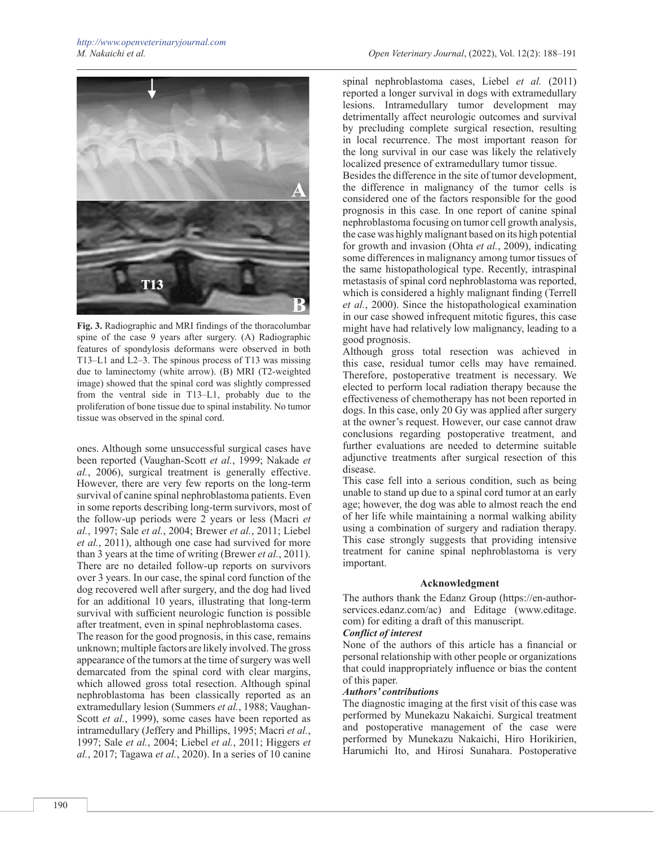

**Fig. 3.** Radiographic and MRI findings of the thoracolumbar spine of the case 9 years after surgery. (A) Radiographic features of spondylosis deformans were observed in both T13–L1 and L2–3. The spinous process of T13 was missing due to laminectomy (white arrow). (B) MRI (T2-weighted image) showed that the spinal cord was slightly compressed from the ventral side in T13–L1, probably due to the proliferation of bone tissue due to spinal instability. No tumor tissue was observed in the spinal cord.

ones. Although some unsuccessful surgical cases have been reported (Vaughan-Scott *et al.*, 1999; Nakade *et al.*, 2006), surgical treatment is generally effective. However, there are very few reports on the long-term survival of canine spinal nephroblastoma patients. Even in some reports describing long-term survivors, most of the follow-up periods were 2 years or less (Macri *et al.*, 1997; Sale *et al.*, 2004; Brewer *et al.*, 2011; Liebel *et al.*, 2011), although one case had survived for more than 3 years at the time of writing (Brewer *et al.*, 2011). There are no detailed follow-up reports on survivors over 3 years. In our case, the spinal cord function of the dog recovered well after surgery, and the dog had lived for an additional 10 years, illustrating that long-term survival with sufficient neurologic function is possible after treatment, even in spinal nephroblastoma cases.

The reason for the good prognosis, in this case, remains unknown; multiple factors are likely involved. The gross appearance of the tumors at the time of surgery was well demarcated from the spinal cord with clear margins, which allowed gross total resection. Although spinal nephroblastoma has been classically reported as an extramedullary lesion (Summers *et al.*, 1988; Vaughan-Scott *et al.*, 1999), some cases have been reported as intramedullary (Jeffery and Phillips, 1995; Macri *et al.*, 1997; Sale *et al.*, 2004; Liebel *et al.*, 2011; Higgers *et al.*, 2017; Tagawa *et al.*, 2020). In a series of 10 canine

spinal nephroblastoma cases, Liebel *et al.* (2011) reported a longer survival in dogs with extramedullary lesions. Intramedullary tumor development may detrimentally affect neurologic outcomes and survival by precluding complete surgical resection, resulting in local recurrence. The most important reason for the long survival in our case was likely the relatively localized presence of extramedullary tumor tissue.

Besides the difference in the site of tumor development, the difference in malignancy of the tumor cells is considered one of the factors responsible for the good prognosis in this case. In one report of canine spinal nephroblastoma focusing on tumor cell growth analysis, the case was highly malignant based on its high potential for growth and invasion (Ohta *et al.*, 2009), indicating some differences in malignancy among tumor tissues of the same histopathological type. Recently, intraspinal metastasis of spinal cord nephroblastoma was reported, which is considered a highly malignant finding (Terrell *et al.*, 2000). Since the histopathological examination in our case showed infrequent mitotic figures, this case might have had relatively low malignancy, leading to a good prognosis.

Although gross total resection was achieved in this case, residual tumor cells may have remained. Therefore, postoperative treatment is necessary. We elected to perform local radiation therapy because the effectiveness of chemotherapy has not been reported in dogs. In this case, only 20 Gy was applied after surgery at the owner's request. However, our case cannot draw conclusions regarding postoperative treatment, and further evaluations are needed to determine suitable adjunctive treatments after surgical resection of this disease.

This case fell into a serious condition, such as being unable to stand up due to a spinal cord tumor at an early age; however, the dog was able to almost reach the end of her life while maintaining a normal walking ability using a combination of surgery and radiation therapy. This case strongly suggests that providing intensive treatment for canine spinal nephroblastoma is very important.

## **Acknowledgment**

The authors thank the Edanz Group (https://en-authorservices.edanz.com/ac) and Editage (www.editage. com) for editing a draft of this manuscript.

## *Conflict of interest*

None of the authors of this article has a financial or personal relationship with other people or organizations that could inappropriately influence or bias the content of this paper.

## *Authors' contributions*

The diagnostic imaging at the first visit of this case was performed by Munekazu Nakaichi. Surgical treatment and postoperative management of the case were performed by Munekazu Nakaichi, Hiro Horikirien, Harumichi Ito, and Hirosi Sunahara. Postoperative